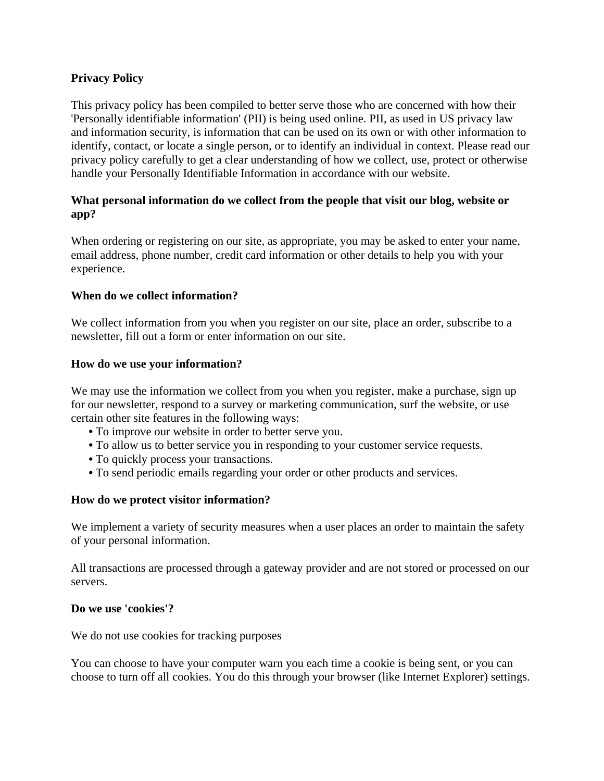# **Privacy Policy**

This privacy policy has been compiled to better serve those who are concerned with how their 'Personally identifiable information' (PII) is being used online. PII, as used in US privacy law and information security, is information that can be used on its own or with other information to identify, contact, or locate a single person, or to identify an individual in context. Please read our privacy policy carefully to get a clear understanding of how we collect, use, protect or otherwise handle your Personally Identifiable Information in accordance with our website.

# **What personal information do we collect from the people that visit our blog, website or app?**

When ordering or registering on our site, as appropriate, you may be asked to enter your name, email address, phone number, credit card information or other details to help you with your experience.

### **When do we collect information?**

We collect information from you when you register on our site, place an order, subscribe to a newsletter, fill out a form or enter information on our site.

#### **How do we use your information?**

We may use the information we collect from you when you register, make a purchase, sign up for our newsletter, respond to a survey or marketing communication, surf the website, or use certain other site features in the following ways:

- **•** To improve our website in order to better serve you.
- **•** To allow us to better service you in responding to your customer service requests.
- **•** To quickly process your transactions.
- **•** To send periodic emails regarding your order or other products and services.

#### **How do we protect visitor information?**

We implement a variety of security measures when a user places an order to maintain the safety of your personal information.

All transactions are processed through a gateway provider and are not stored or processed on our servers.

#### **Do we use 'cookies'?**

We do not use cookies for tracking purposes

You can choose to have your computer warn you each time a cookie is being sent, or you can choose to turn off all cookies. You do this through your browser (like Internet Explorer) settings.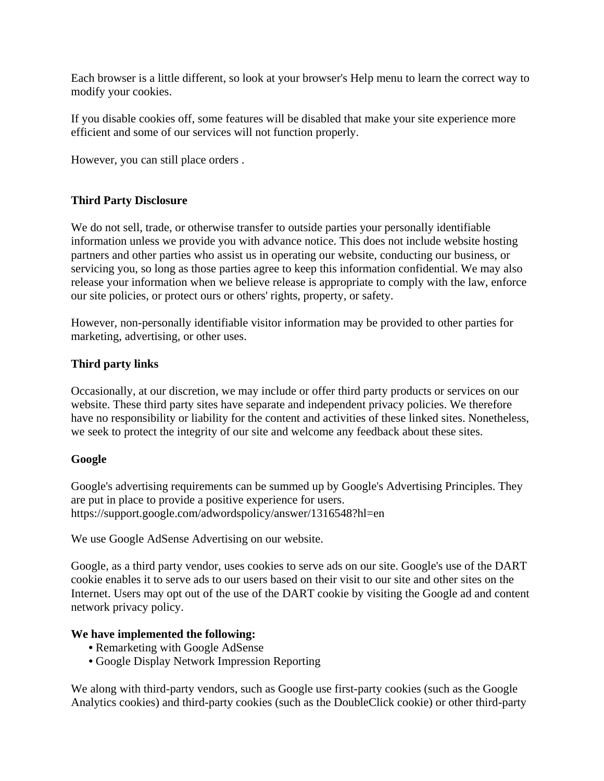Each browser is a little different, so look at your browser's Help menu to learn the correct way to modify your cookies.

If you disable cookies off, some features will be disabled that make your site experience more efficient and some of our services will not function properly.

However, you can still place orders .

# **Third Party Disclosure**

We do not sell, trade, or otherwise transfer to outside parties your personally identifiable information unless we provide you with advance notice. This does not include website hosting partners and other parties who assist us in operating our website, conducting our business, or servicing you, so long as those parties agree to keep this information confidential. We may also release your information when we believe release is appropriate to comply with the law, enforce our site policies, or protect ours or others' rights, property, or safety.

However, non-personally identifiable visitor information may be provided to other parties for marketing, advertising, or other uses.

# **Third party links**

Occasionally, at our discretion, we may include or offer third party products or services on our website. These third party sites have separate and independent privacy policies. We therefore have no responsibility or liability for the content and activities of these linked sites. Nonetheless, we seek to protect the integrity of our site and welcome any feedback about these sites.

### **Google**

Google's advertising requirements can be summed up by Google's Advertising Principles. They are put in place to provide a positive experience for users. https://support.google.com/adwordspolicy/answer/1316548?hl=en

We use Google AdSense Advertising on our website.

Google, as a third party vendor, uses cookies to serve ads on our site. Google's use of the DART cookie enables it to serve ads to our users based on their visit to our site and other sites on the Internet. Users may opt out of the use of the DART cookie by visiting the Google ad and content network privacy policy.

### **We have implemented the following:**

- **•** Remarketing with Google AdSense
- **•** Google Display Network Impression Reporting

We along with third-party vendors, such as Google use first-party cookies (such as the Google Analytics cookies) and third-party cookies (such as the DoubleClick cookie) or other third-party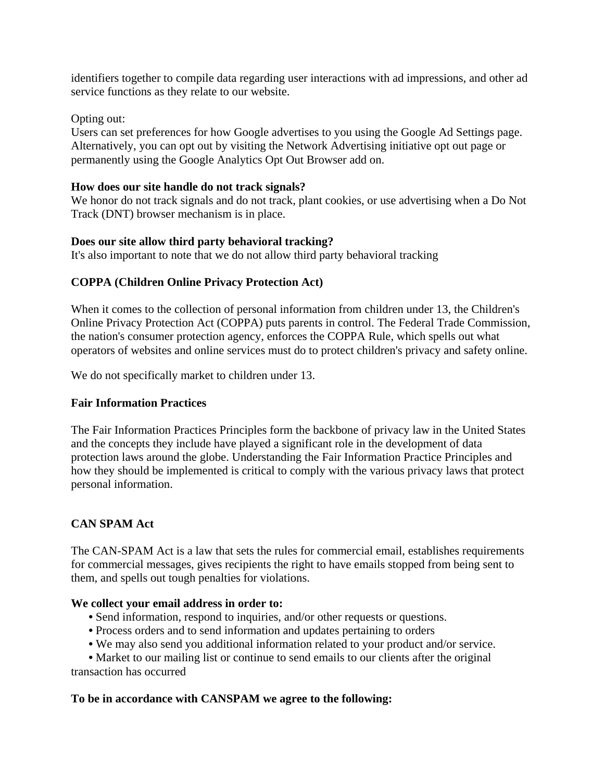identifiers together to compile data regarding user interactions with ad impressions, and other ad service functions as they relate to our website.

# Opting out:

Users can set preferences for how Google advertises to you using the Google Ad Settings page. Alternatively, you can opt out by visiting the Network Advertising initiative opt out page or permanently using the Google Analytics Opt Out Browser add on.

# **How does our site handle do not track signals?**

We honor do not track signals and do not track, plant cookies, or use advertising when a Do Not Track (DNT) browser mechanism is in place.

# **Does our site allow third party behavioral tracking?**

It's also important to note that we do not allow third party behavioral tracking

# **COPPA (Children Online Privacy Protection Act)**

When it comes to the collection of personal information from children under 13, the Children's Online Privacy Protection Act (COPPA) puts parents in control. The Federal Trade Commission, the nation's consumer protection agency, enforces the COPPA Rule, which spells out what operators of websites and online services must do to protect children's privacy and safety online.

We do not specifically market to children under 13.

### **Fair Information Practices**

The Fair Information Practices Principles form the backbone of privacy law in the United States and the concepts they include have played a significant role in the development of data protection laws around the globe. Understanding the Fair Information Practice Principles and how they should be implemented is critical to comply with the various privacy laws that protect personal information.

# **CAN SPAM Act**

The CAN-SPAM Act is a law that sets the rules for commercial email, establishes requirements for commercial messages, gives recipients the right to have emails stopped from being sent to them, and spells out tough penalties for violations.

### **We collect your email address in order to:**

- **•** Send information, respond to inquiries, and/or other requests or questions.
- **•** Process orders and to send information and updates pertaining to orders
- **•** We may also send you additional information related to your product and/or service.

• Market to our mailing list or continue to send emails to our clients after the original transaction has occurred

### **To be in accordance with CANSPAM we agree to the following:**